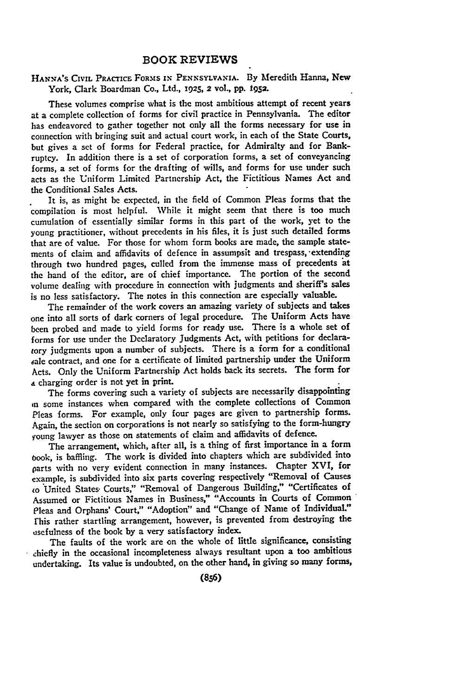## **HANVA'S CIVIL PRACTICE** FORMS IN **PENNSYLVANIA. By** Meredith Hanna, New York, Clark Boardman Co., Ltd., **1925, 2 vol., pp. i52.**

These volumes comprise what is the most ambitious attempt of recent years at a complete collection of forms for civil practice in Pennsylvania. The editor has endeavored to gather together not only all the forms necessary for use in connection with bringing suit and actual court work, in each of the **State** Courts, but gives a set of forms for Federal practice, for Admiralty and for Bankruptcy. In addition there is a set of corporation forms, a set of conveyancing forms, a set of forms for the drafting of wills, and forms for use under such acts as the Uniform Limited Partnership Act, the Fictitious Names Act and the Conditional Sales Acts.

It is, as might be expected, in the **field** of Common Pleas forms that the compilation is most helpful. While it might seem that there is too much cumulation of essentially similar forms in this part of the work, yet to the young practitioner, without precedents in his files, it is just such detailed forms that are of value. For those for whom form books are made, the sample statements of claim and affidavits of defence in assumpsit and trespass, extending through two hundred pages, culled from the immense mass of precedents at the hand of the editor, are of chief importance. The portion of the second volume dealing with procedure in connection with judgments and sheriff's sales is no less satisfactory. The notes in this connection are especially valuable.

The remainder of the work covers an amazing variety of subjects and takes one into all sorts of dark corners of legal procedure. The Uniform Acts have been probed and made to yield forms for ready use. There is a whole set of forms for use under the Declaratory Judgments Act, with petitions for declaraiory judgments upon a number of subjects. There is a form for a conditional .ale contract, and one for a certificate of limited partnership under the Uniform Acts. Only the Uniform Partnership Act holds back its secrets. The form for **a** charging order is not yet in print.

The forms covering such a variety of subjects are necessarily disappointing in some instances when compared with the complete collections of Common Pleas forms. For example, only four pages are given to partnership forms. Again, the section on corporations is not nearly so satisfying to the form-hungry young lawyer as those on statements of claim and affidavits of defence.

The arrangement, which, after all, is a thing of first importance in a form oook, is baffling. The work is divided into chapters which are subdivided into parts with no very evident connection in many instances. Chapter XVI, for example, is subdivided into six parts covering respectively "Removal of Causes to United States, Courts," "Removal of Dangerous Building," "Certificates **of** Assumed or Fictitious Names in Business," "Accounts in Courts of Common Pleas and Orphans' Court," "Adoption" and "Change of Name of Individual:' fhis rather startling arrangement, however, is prevented from destroying the usefulness of the book **by** a very satisfactory index.

The faults of the work are on the whole of little significance, consisting chiefly in the occasional incompleteness always resultant upon a **too** ambitious undertaking. Its value is undoubted, on the other hand, in giving so many forms,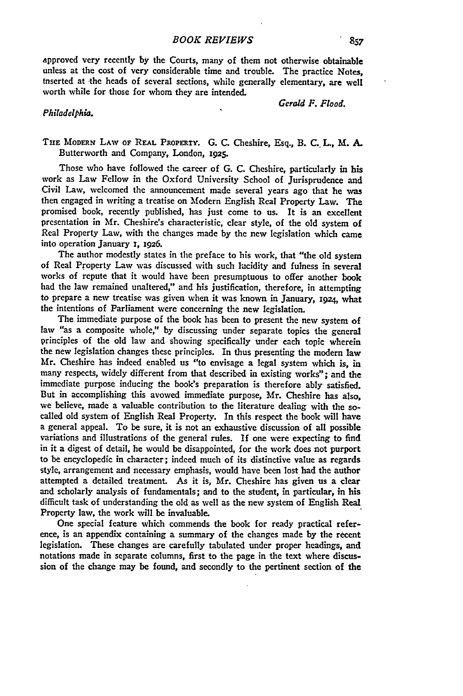approved very recently **by** the Courts, many of them not otherwise obtainable unless at the cost of very considerable time and trouble. The practice Notes, Inserted at the heads of several sections, while generally elementary, are well worth while for those for whom they are intended.

*Gerald F. Flood.*

## *Philadelphia.*

**THE** MODERN LAW OF **REAL PROPERTY. G. C.** Cheshire, Esq., **B. C. L., M. A.** Butterworth and Company, London, **1925.**

Those who have followed the career of **G.** C. Cheshire, particularly in his work as Law Fellow in the Oxford University School of Jurisprudence and Civil Law, welcomed the announcement made several years ago that he was then engaged in writing a treatise on Modern English Real Property Law. The promised book, recently published, has just come to us. It is an excellent presentation in Mr. Cheshire's characteristic, clear style, of the old system of Real Property Law, with the changes made **by** the new legislation which came into operation January **z, 1926.**

The author modestly states in the preface to his work, that "the old system of Real Property Law was discussed with such lacidity and fulness in several works of repute that it would have been presumptuous to offer another **book** had the law remained unaltered," and his justification, therefore, in attempting to prepare a new treatise was given when it was known in January, **1924,** what the intentions of Parliament were concerning the new legislation.

The immediate purpose of the book has been to present the new system **of** law "as a composite whole," **by** discussing under separate topics the general principles of the old law and showing specifically under each topic wherein the new legislation changes these principles. In thus presenting the modern law Mr. Cheshire has indeed enabled us "to envisage a legal system which is, in many respects, widely different from that described in existing works"; and the immediate purpose inducing the book's preparation is therefore ably satisfied. But in accomplishing this avowed immediate purpose, Mr. Cheshire has also, we believe, made a valuable contribution to the literature dealing with the socalled old system of English Real Property. In this respect the book will have a general appeal. To be sure, it is not an exhaustive discussion of all possible variations and illustrations of the general rules. If one were expecting to find in it a digest of detail, he would be disappointed, for the work does not purport to be encyclopedic in character; indeed much of its distinctive value as regards style, arrangement and necessary emphasis, would have been lost had the author attempted a detailed treatment. As it is, Mr. Cheshire has given us a clear and scholarly analysis of fundamentals; and to the student, in particular, in his difficult task of understanding the old as well as the new system of English Real Property law, the work will be invaluable.

One special feature which commends the book for ready practical reference, is an appendix containing a summary of the changes made **by** the recent legislation. These changes are carefully tabulated under proper headings, and notations made in separate columns, first to the page in the text where discussion of the change may be found, and secondly to the pertinent section of the